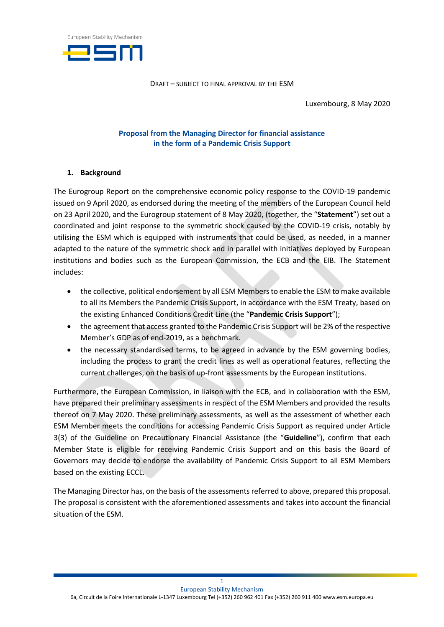

Luxembourg, 8 May 2020

## **Proposal from the Managing Director for financial assistance in the form of a Pandemic Crisis Support**

### **1. Background**

The Eurogroup Report on the comprehensive economic policy response to the COVID-19 pandemic issued on 9 April 2020, as endorsed during the meeting of the members of the European Council held on 23 April 2020, and the Eurogroup statement of 8 May 2020, (together, the "**Statement**") set out a coordinated and joint response to the symmetric shock caused by the COVID-19 crisis, notably by utilising the ESM which is equipped with instruments that could be used, as needed, in a manner adapted to the nature of the symmetric shock and in parallel with initiatives deployed by European institutions and bodies such as the European Commission, the ECB and the EIB. The Statement includes:

- the collective, political endorsement by all ESM Members to enable the ESM to make available to all its Members the Pandemic Crisis Support, in accordance with the ESM Treaty, based on the existing Enhanced Conditions Credit Line (the "**Pandemic Crisis Support**");
- the agreement that access granted to the Pandemic Crisis Support will be 2% of the respective Member's GDP as of end-2019, as a benchmark.
- the necessary standardised terms, to be agreed in advance by the ESM governing bodies, including the process to grant the credit lines as well as operational features, reflecting the current challenges, on the basis of up-front assessments by the European institutions.

Furthermore, the European Commission, in liaison with the ECB, and in collaboration with the ESM, have prepared their preliminary assessments in respect of the ESM Members and provided the results thereof on 7 May 2020. These preliminary assessments, as well as the assessment of whether each ESM Member meets the conditions for accessing Pandemic Crisis Support as required under Article 3(3) of the Guideline on Precautionary Financial Assistance (the "**Guideline**"), confirm that each Member State is eligible for receiving Pandemic Crisis Support and on this basis the Board of Governors may decide to endorse the availability of Pandemic Crisis Support to all ESM Members based on the existing ECCL.

The Managing Director has, on the basis of the assessments referred to above, prepared this proposal. The proposal is consistent with the aforementioned assessments and takes into account the financial situation of the ESM.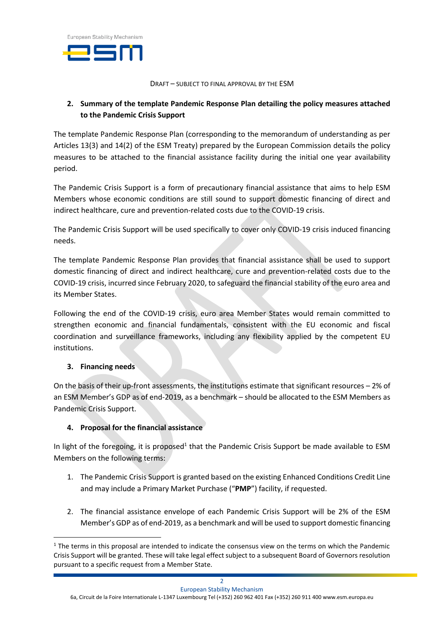

# **2. Summary of the template Pandemic Response Plan detailing the policy measures attached to the Pandemic Crisis Support**

The template Pandemic Response Plan (corresponding to the memorandum of understanding as per Articles 13(3) and 14(2) of the ESM Treaty) prepared by the European Commission details the policy measures to be attached to the financial assistance facility during the initial one year availability period.

The Pandemic Crisis Support is a form of precautionary financial assistance that aims to help ESM Members whose economic conditions are still sound to support domestic financing of direct and indirect healthcare, cure and prevention-related costs due to the COVID-19 crisis.

The Pandemic Crisis Support will be used specifically to cover only COVID-19 crisis induced financing needs.

The template Pandemic Response Plan provides that financial assistance shall be used to support domestic financing of direct and indirect healthcare, cure and prevention-related costs due to the COVID-19 crisis, incurred since February 2020, to safeguard the financial stability of the euro area and its Member States.

Following the end of the COVID-19 crisis, euro area Member States would remain committed to strengthen economic and financial fundamentals, consistent with the EU economic and fiscal coordination and surveillance frameworks, including any flexibility applied by the competent EU institutions.

## **3. Financing needs**

-

On the basis of their up-front assessments, the institutions estimate that significant resources – 2% of an ESM Member's GDP as of end-2019, as a benchmark – should be allocated to the ESM Members as Pandemic Crisis Support.

## **4. Proposal for the financial assistance**

In light of the foregoing, it is proposed<sup>1</sup> that the Pandemic Crisis Support be made available to ESM Members on the following terms:

- 1. The Pandemic Crisis Support is granted based on the existing Enhanced Conditions Credit Line and may include a Primary Market Purchase ("**PMP**") facility, if requested.
- 2. The financial assistance envelope of each Pandemic Crisis Support will be 2% of the ESM Member's GDP as of end-2019, as a benchmark and will be used to support domestic financing

 $1$  The terms in this proposal are intended to indicate the consensus view on the terms on which the Pandemic Crisis Support will be granted. These will take legal effect subject to a subsequent Board of Governors resolution pursuant to a specific request from a Member State.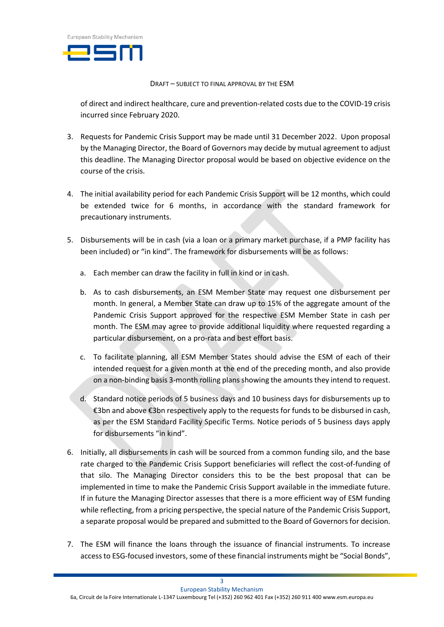

of direct and indirect healthcare, cure and prevention-related costs due to the COVID-19 crisis incurred since February 2020.

- 3. Requests for Pandemic Crisis Support may be made until 31 December 2022. Upon proposal by the Managing Director, the Board of Governors may decide by mutual agreement to adjust this deadline. The Managing Director proposal would be based on objective evidence on the course of the crisis.
- 4. The initial availability period for each Pandemic Crisis Support will be 12 months, which could be extended twice for 6 months, in accordance with the standard framework for precautionary instruments.
- 5. Disbursements will be in cash (via a loan or a primary market purchase, if a PMP facility has been included) or "in kind". The framework for disbursements will be as follows:
	- a. Each member can draw the facility in full in kind or in cash.
	- b. As to cash disbursements, an ESM Member State may request one disbursement per month. In general, a Member State can draw up to 15% of the aggregate amount of the Pandemic Crisis Support approved for the respective ESM Member State in cash per month. The ESM may agree to provide additional liquidity where requested regarding a particular disbursement, on a pro-rata and best effort basis.
	- c. To facilitate planning, all ESM Member States should advise the ESM of each of their intended request for a given month at the end of the preceding month, and also provide on a non-binding basis 3-month rolling plans showing the amounts they intend to request.
	- d. Standard notice periods of 5 business days and 10 business days for disbursements up to €3bn and above €3bn respectively apply to the requests for funds to be disbursed in cash, as per the ESM Standard Facility Specific Terms. Notice periods of 5 business days apply for disbursements "in kind".
- 6. Initially, all disbursements in cash will be sourced from a common funding silo, and the base rate charged to the Pandemic Crisis Support beneficiaries will reflect the cost-of-funding of that silo. The Managing Director considers this to be the best proposal that can be implemented in time to make the Pandemic Crisis Support available in the immediate future. If in future the Managing Director assesses that there is a more efficient way of ESM funding while reflecting, from a pricing perspective, the special nature of the Pandemic Crisis Support, a separate proposal would be prepared and submitted to the Board of Governors for decision.
- 7. The ESM will finance the loans through the issuance of financial instruments. To increase access to ESG-focused investors, some of these financial instruments might be "Social Bonds",